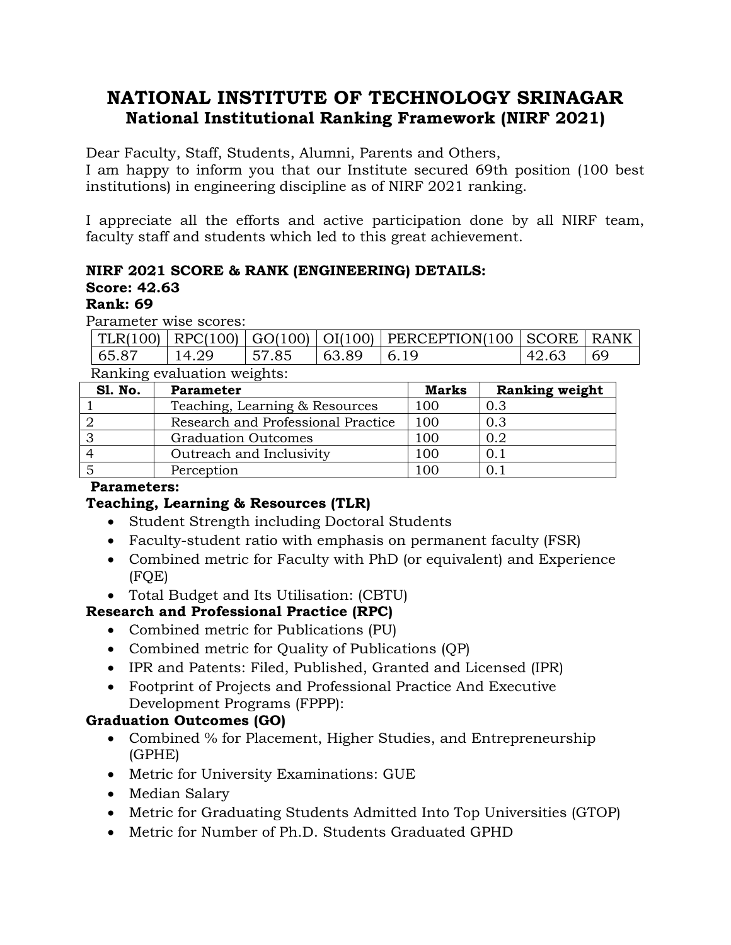# **NATIONAL INSTITUTE OF TECHNOLOGY SRINAGAR National Institutional Ranking Framework (NIRF 2021)**

Dear Faculty, Staff, Students, Alumni, Parents and Others,

I am happy to inform you that our Institute secured 69th position (100 best institutions) in engineering discipline as of NIRF 2021 ranking.

I appreciate all the efforts and active participation done by all NIRF team, faculty staff and students which led to this great achievement.

## **NIRF 2021 SCORE & RANK (ENGINEERING) DETAILS:**

## **Score: 42.63**

## **Rank: 69**

Parameter wise scores:

|       |       |       |                 | $TLR(100)$ RPC(100) GO(100)   OI(100)   PERCEPTION(100   SCORE   RANK |       |  |
|-------|-------|-------|-----------------|-----------------------------------------------------------------------|-------|--|
| 65.87 | 14.29 | 57.85 | $ 63.89\rangle$ |                                                                       | 42.63 |  |

Ranking evaluation weights:

| <b>S1. No.</b> | <b>Parameter</b>                   | <b>Marks</b> | <b>Ranking weight</b> |
|----------------|------------------------------------|--------------|-----------------------|
|                | Teaching, Learning & Resources     | 100          | 0.3                   |
|                | Research and Professional Practice | 100          | 0.3                   |
|                | <b>Graduation Outcomes</b>         | 100          | 0.2                   |
|                | Outreach and Inclusivity           | 100          |                       |
|                | Perception                         | 100          |                       |

## **Parameters:**

## **Teaching, Learning & Resources (TLR)**

- Student Strength including Doctoral Students
- Faculty-student ratio with emphasis on permanent faculty (FSR)
- Combined metric for Faculty with PhD (or equivalent) and Experience (FQE)
- Total Budget and Its Utilisation: (CBTU)

# **Research and Professional Practice (RPC)**

- Combined metric for Publications (PU)
- Combined metric for Quality of Publications (QP)
- IPR and Patents: Filed, Published, Granted and Licensed (IPR)
- Footprint of Projects and Professional Practice And Executive Development Programs (FPPP):

# **Graduation Outcomes (GO)**

- Combined % for Placement, Higher Studies, and Entrepreneurship (GPHE)
- Metric for University Examinations: GUE
- Median Salary
- Metric for Graduating Students Admitted Into Top Universities (GTOP)
- Metric for Number of Ph.D. Students Graduated GPHD